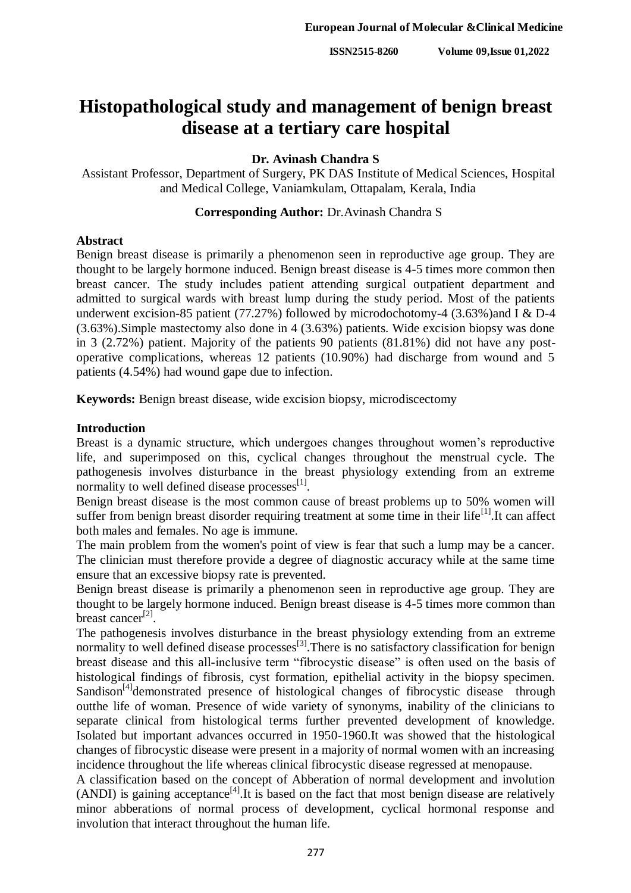# **Histopathological study and management of benign breast disease at a tertiary care hospital**

## **Dr. Avinash Chandra S**

Assistant Professor, Department of Surgery, PK DAS Institute of Medical Sciences, Hospital and Medical College, Vaniamkulam, Ottapalam, Kerala, India

## **Corresponding Author:** Dr.Avinash Chandra S

## **Abstract**

Benign breast disease is primarily a phenomenon seen in reproductive age group. They are thought to be largely hormone induced. Benign breast disease is 4-5 times more common then breast cancer. The study includes patient attending surgical outpatient department and admitted to surgical wards with breast lump during the study period. Most of the patients underwent excision-85 patient (77.27%) followed by microdochotomy-4 (3.63%)and I & D-4 (3.63%).Simple mastectomy also done in 4 (3.63%) patients. Wide excision biopsy was done in 3 (2.72%) patient. Majority of the patients 90 patients (81.81%) did not have any postoperative complications, whereas 12 patients (10.90%) had discharge from wound and 5 patients (4.54%) had wound gape due to infection.

**Keywords:** Benign breast disease, wide excision biopsy, microdiscectomy

## **Introduction**

Breast is a dynamic structure, which undergoes changes throughout women"s reproductive life, and superimposed on this, cyclical changes throughout the menstrual cycle. The pathogenesis involves disturbance in the breast physiology extending from an extreme normality to well defined disease processes $^{[1]}$ .

Benign breast disease is the most common cause of breast problems up to 50% women will suffer from benign breast disorder requiring treatment at some time in their life<sup>[1]</sup>. It can affect both males and females. No age is immune.

The main problem from the women's point of view is fear that such a lump may be a cancer. The clinician must therefore provide a degree of diagnostic accuracy while at the same time ensure that an excessive biopsy rate is prevented.

Benign breast disease is primarily a phenomenon seen in reproductive age group. They are thought to be largely hormone induced. Benign breast disease is 4-5 times more common than breast cancer<sup>[2]</sup>.

The pathogenesis involves disturbance in the breast physiology extending from an extreme normality to well defined disease processes<sup>[3]</sup>. There is no satisfactory classification for benign breast disease and this all-inclusive term "fibrocystic disease" is often used on the basis of histological findings of fibrosis, cyst formation, epithelial activity in the biopsy specimen. Sandison<sup>[4]</sup>demonstrated presence of histological changes of fibrocystic disease through outthe life of woman. Presence of wide variety of synonyms, inability of the clinicians to separate clinical from histological terms further prevented development of knowledge. Isolated but important advances occurred in 1950-1960.It was showed that the histological changes of fibrocystic disease were present in a majority of normal women with an increasing incidence throughout the life whereas clinical fibrocystic disease regressed at menopause.

A classification based on the concept of Abberation of normal development and involution  $(ANDI)$  is gaining acceptance<sup>[4]</sup>. It is based on the fact that most benign disease are relatively minor abberations of normal process of development, cyclical hormonal response and involution that interact throughout the human life.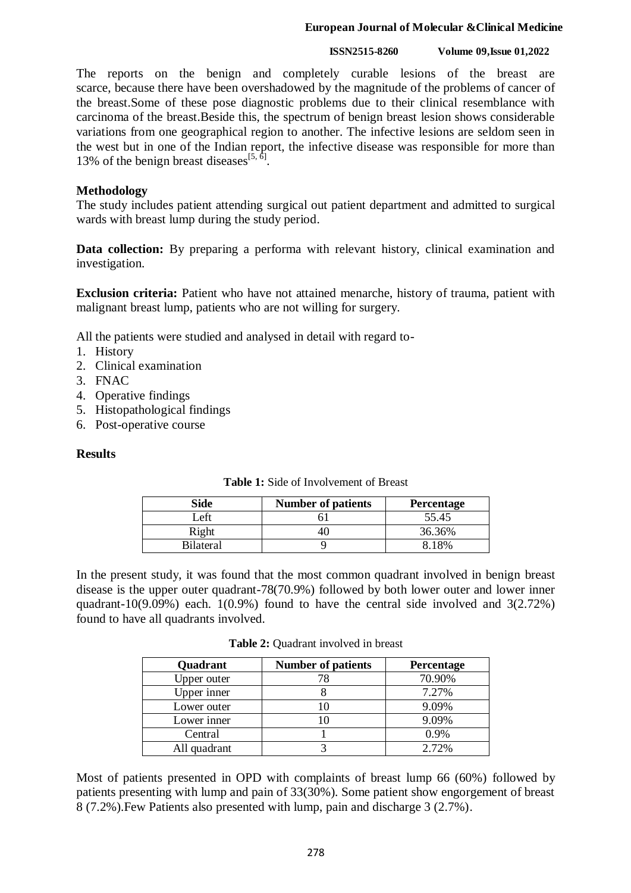### **European Journal of Molecular &Clinical Medicine**

#### **ISSN2515-8260 Volume 09,Issue 01,2022**

The reports on the benign and completely curable lesions of the breast are scarce, because there have been overshadowed by the magnitude of the problems of cancer of the breast.Some of these pose diagnostic problems due to their clinical resemblance with carcinoma of the breast.Beside this, the spectrum of benign breast lesion shows considerable variations from one geographical region to another. The infective lesions are seldom seen in the west but in one of the Indian report, the infective disease was responsible for more than 13% of the benign breast diseases<sup>[5,  $\delta$ ]</sup>.

## **Methodology**

The study includes patient attending surgical out patient department and admitted to surgical wards with breast lump during the study period.

**Data collection:** By preparing a performa with relevant history, clinical examination and investigation.

**Exclusion criteria:** Patient who have not attained menarche, history of trauma, patient with malignant breast lump, patients who are not willing for surgery.

All the patients were studied and analysed in detail with regard to-

- 1. History
- 2. Clinical examination
- 3. FNAC
- 4. Operative findings
- 5. Histopathological findings
- 6. Post-operative course

### **Results**

| Side             | <b>Number of patients</b> | <b>Percentage</b> |
|------------------|---------------------------|-------------------|
| Left             |                           | 55.45             |
| Right            |                           | 36.36%            |
| <b>Bilateral</b> |                           |                   |

**Table 1:** Side of Involvement of Breast

In the present study, it was found that the most common quadrant involved in benign breast disease is the upper outer quadrant-78(70.9%) followed by both lower outer and lower inner quadrant-10(9.09%) each.  $1(0.9\%)$  found to have the central side involved and  $3(2.72\%)$ found to have all quadrants involved.

**Table 2:** Quadrant involved in breast

| Quadrant     | <b>Number of patients</b> | <b>Percentage</b> |
|--------------|---------------------------|-------------------|
| Upper outer  |                           | 70.90%            |
| Upper inner  |                           | 7.27%             |
| Lower outer  |                           | 9.09%             |
| Lower inner  |                           | 9.09%             |
| Central      |                           | 0.9%              |
| All quadrant |                           | 2.72%             |

Most of patients presented in OPD with complaints of breast lump 66 (60%) followed by patients presenting with lump and pain of 33(30%). Some patient show engorgement of breast 8 (7.2%).Few Patients also presented with lump, pain and discharge 3 (2.7%).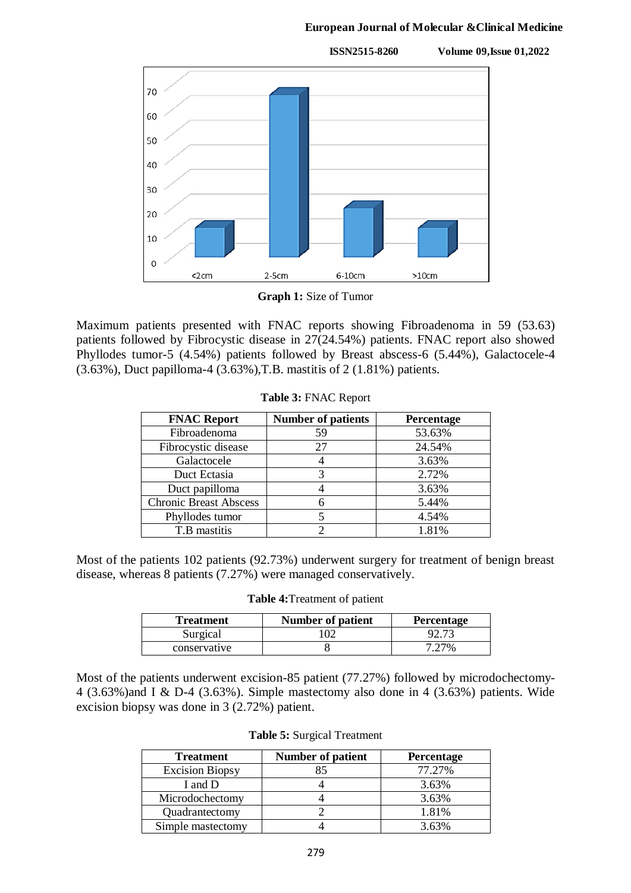### **European Journal of Molecular &Clinical Medicine**



**Graph 1:** Size of Tumor

Maximum patients presented with FNAC reports showing Fibroadenoma in 59 (53.63) patients followed by Fibrocystic disease in 27(24.54%) patients. FNAC report also showed Phyllodes tumor-5 (4.54%) patients followed by Breast abscess-6 (5.44%), Galactocele-4 (3.63%), Duct papilloma-4 (3.63%),T.B. mastitis of 2 (1.81%) patients.

| <b>FNAC Report</b>            | <b>Number of patients</b> | Percentage |
|-------------------------------|---------------------------|------------|
| Fibroadenoma                  | 59                        | 53.63%     |
| Fibrocystic disease           | 27                        | 24.54%     |
| Galactocele                   |                           | 3.63%      |
| Duct Ectasia                  | 3                         | 2.72%      |
| Duct papilloma                |                           | 3.63%      |
| <b>Chronic Breast Abscess</b> |                           | 5.44%      |
| Phyllodes tumor               |                           | 4.54%      |
| T.B mastitis                  |                           | 1.81%      |

**Table 3:** FNAC Report

Most of the patients 102 patients (92.73%) underwent surgery for treatment of benign breast disease, whereas 8 patients (7.27%) were managed conservatively.

| Table 4: Treatment of patient |  |  |
|-------------------------------|--|--|
|-------------------------------|--|--|

| Treatment    | <b>Number of patient</b> | <b>Percentage</b> |
|--------------|--------------------------|-------------------|
| Surgical     | 02                       | 92.73             |
| conservative |                          | 7 27%             |

Most of the patients underwent excision-85 patient (77.27%) followed by microdochectomy-4 (3.63%)and I & D-4 (3.63%). Simple mastectomy also done in 4 (3.63%) patients. Wide excision biopsy was done in 3 (2.72%) patient.

|  |  | <b>Table 5:</b> Surgical Treatment |
|--|--|------------------------------------|
|--|--|------------------------------------|

| <b>Treatment</b>       | <b>Number of patient</b> | Percentage |
|------------------------|--------------------------|------------|
| <b>Excision Biopsy</b> | 85                       | 77.27%     |
| I and D                |                          | 3.63%      |
| Microdochectomy        |                          | 3.63%      |
| Quadrantectomy         |                          | 1.81%      |
| Simple mastectomy      |                          | 3.63%      |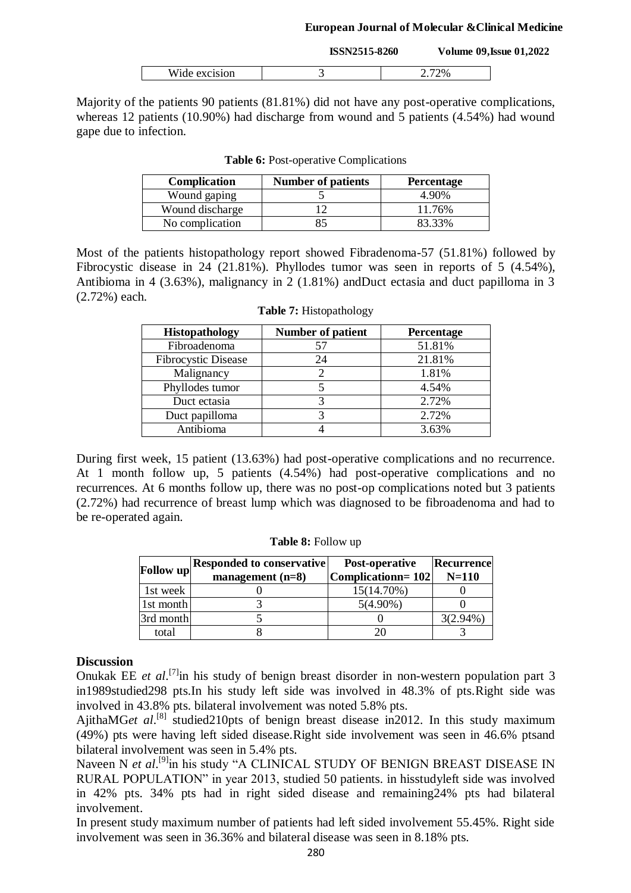#### **European Journal of Molecular &Clinical Medicine**

|               | <b>ISSN2515-8260</b> |       | <b>Volume 09, Issue 01, 2022</b> |
|---------------|----------------------|-------|----------------------------------|
| Wide excision |                      | 2.72% |                                  |

Majority of the patients 90 patients (81.81%) did not have any post-operative complications, whereas 12 patients (10.90%) had discharge from wound and 5 patients (4.54%) had wound gape due to infection.

| <b>Complication</b> | <b>Number of patients</b> | <b>Percentage</b> |
|---------------------|---------------------------|-------------------|
| Wound gaping        |                           | 4.90%             |
| Wound discharge     |                           | 11.76%            |
| No complication     | 85                        | 83.33%            |

**Table 6:** Post-operative Complications

Most of the patients histopathology report showed Fibradenoma-57 (51.81%) followed by Fibrocystic disease in 24 (21.81%). Phyllodes tumor was seen in reports of 5 (4.54%), Antibioma in 4 (3.63%), malignancy in 2 (1.81%) andDuct ectasia and duct papilloma in 3 (2.72%) each.

| <b>Histopathology</b>      | Number of patient | Percentage |
|----------------------------|-------------------|------------|
| Fibroadenoma               | 57                | 51.81%     |
| <b>Fibrocystic Disease</b> | 24                | 21.81%     |
| Malignancy                 | 2                 | 1.81%      |
| Phyllodes tumor            |                   | 4.54%      |
| Duct ectasia               | 3                 | 2.72%      |
| Duct papilloma             |                   | 2.72%      |
| Antibioma                  |                   | 3.63%      |

|  | <b>Table 7: Histopathology</b> |
|--|--------------------------------|
|--|--------------------------------|

During first week, 15 patient (13.63%) had post-operative complications and no recurrence. At 1 month follow up, 5 patients (4.54%) had post-operative complications and no recurrences. At 6 months follow up, there was no post-op complications noted but 3 patients (2.72%) had recurrence of breast lump which was diagnosed to be fibroadenoma and had to be re-operated again.

| <b>Follow</b> up | <b>Responded to conservative</b><br>management $(n=8)$ | Post-operative<br>Complicationn=102 | Recurrence<br>$N=110$ |
|------------------|--------------------------------------------------------|-------------------------------------|-----------------------|
| 1st week         |                                                        | 15(14.70%)                          |                       |
| 1st month        |                                                        | $5(4.90\%)$                         |                       |
| 3rd month        |                                                        |                                     | $3(2.94\%)$           |
| total            |                                                        |                                     |                       |

**Table 8:** Follow up

## **Discussion**

Onukak EE *et al*.<sup>[7]</sup> in his study of benign breast disorder in non-western population part 3 in1989studied298 pts.In his study left side was involved in 48.3% of pts.Right side was involved in 43.8% pts. bilateral involvement was noted 5.8% pts.

AjithaMGet al.<sup>[8]</sup> studied210pts of benign breast disease in2012. In this study maximum (49%) pts were having left sided disease.Right side involvement was seen in 46.6% ptsand bilateral involvement was seen in 5.4% pts.

Naveen N *et al.*<sup>[9]</sup>in his study "A CLINICAL STUDY OF BENIGN BREAST DISEASE IN RURAL POPULATION" in year 2013, studied 50 patients. in hisstudyleft side was involved in 42% pts. 34% pts had in right sided disease and remaining24% pts had bilateral involvement.

In present study maximum number of patients had left sided involvement 55.45%. Right side involvement was seen in 36.36% and bilateral disease was seen in 8.18% pts.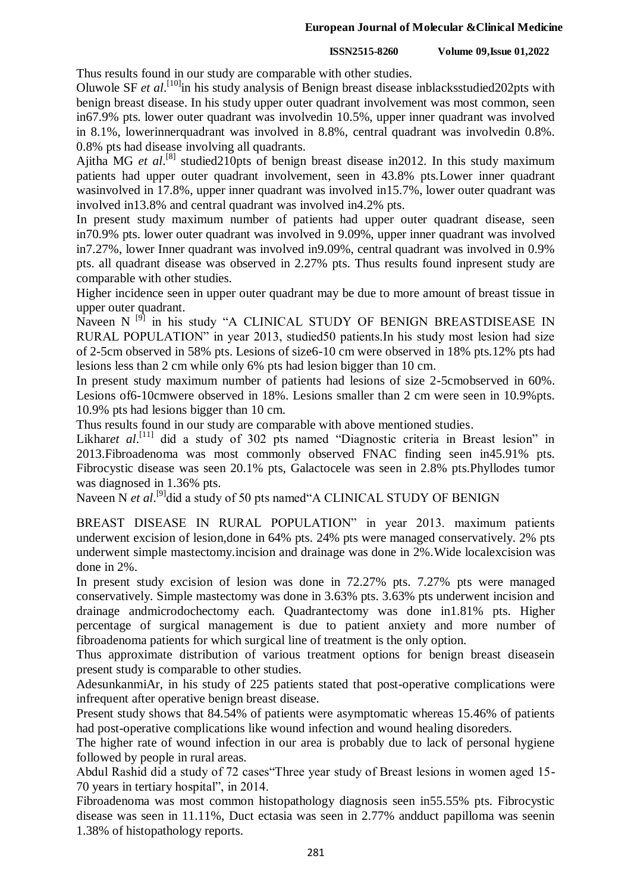#### **ISSN2515-8260 Volume 09,Issue 01,2022**

Thus results found in our study are comparable with other studies.

Oluwole SF *et al.*<sup>[10]</sup>in his study analysis of Benign breast disease inblacksstudied202pts with benign breast disease. In his study upper outer quadrant involvement was most common, seen in67.9% pts. lower outer quadrant was involvedin 10.5%, upper inner quadrant was involved in 8.1%, lowerinnerquadrant was involved in 8.8%, central quadrant was involvedin 0.8%. 0.8% pts had disease involving all quadrants.

Ajitha MG *et al.*<sup>[8]</sup> studied210pts of benign breast disease in2012. In this study maximum patients had upper outer quadrant involvement, seen in 43.8% pts.Lower inner quadrant wasinvolved in 17.8%, upper inner quadrant was involved in15.7%, lower outer quadrant was involved in13.8% and central quadrant was involved in4.2% pts.

In present study maximum number of patients had upper outer quadrant disease, seen in70.9% pts. lower outer quadrant was involved in 9.09%, upper inner quadrant was involved in7.27%, lower Inner quadrant was involved in9.09%, central quadrant was involved in 0.9% pts. all quadrant disease was observed in 2.27% pts. Thus results found inpresent study are comparable with other studies.

Higher incidence seen in upper outer quadrant may be due to more amount of breast tissue in upper outer quadrant.

Naveen N<sup>[9]</sup> in his study "A CLINICAL STUDY OF BENIGN BREASTDISEASE IN RURAL POPULATION" in year 2013, studied50 patients.In his study most lesion had size of 2-5cm observed in 58% pts. Lesions of size6-10 cm were observed in 18% pts.12% pts had lesions less than 2 cm while only 6% pts had lesion bigger than 10 cm.

In present study maximum number of patients had lesions of size 2-5cmobserved in 60%. Lesions of6-10cmwere observed in 18%. Lesions smaller than 2 cm were seen in 10.9%pts. 10.9% pts had lesions bigger than 10 cm.

Thus results found in our study are comparable with above mentioned studies.

Likharet al.<sup>[11]</sup> did a study of 302 pts named "Diagnostic criteria in Breast lesion" in 2013.Fibroadenoma was most commonly observed FNAC finding seen in45.91% pts. Fibrocystic disease was seen 20.1% pts, Galactocele was seen in 2.8% pts.Phyllodes tumor was diagnosed in 1.36% pts.

Naveen N *et al.*<sup>[9]</sup>did a study of 50 pts named A CLINICAL STUDY OF BENIGN

BREAST DISEASE IN RURAL POPULATION" in year 2013. maximum patients underwent excision of lesion,done in 64% pts. 24% pts were managed conservatively. 2% pts underwent simple mastectomy.incision and drainage was done in 2%.Wide localexcision was done in 2%.

In present study excision of lesion was done in 72.27% pts. 7.27% pts were managed conservatively. Simple mastectomy was done in 3.63% pts. 3.63% pts underwent incision and drainage andmicrodochectomy each. Quadrantectomy was done in1.81% pts. Higher percentage of surgical management is due to patient anxiety and more number of fibroadenoma patients for which surgical line of treatment is the only option.

Thus approximate distribution of various treatment options for benign breast diseasein present study is comparable to other studies.

AdesunkanmiAr, in his study of 225 patients stated that post-operative complications were infrequent after operative benign breast disease.

Present study shows that 84.54% of patients were asymptomatic whereas 15.46% of patients had post-operative complications like wound infection and wound healing disoreders.

The higher rate of wound infection in our area is probably due to lack of personal hygiene followed by people in rural areas.

Abdul Rashid did a study of 72 cases"Three year study of Breast lesions in women aged 15- 70 years in tertiary hospital", in 2014.

Fibroadenoma was most common histopathology diagnosis seen in55.55% pts. Fibrocystic disease was seen in 11.11%, Duct ectasia was seen in 2.77% andduct papilloma was seenin 1.38% of histopathology reports.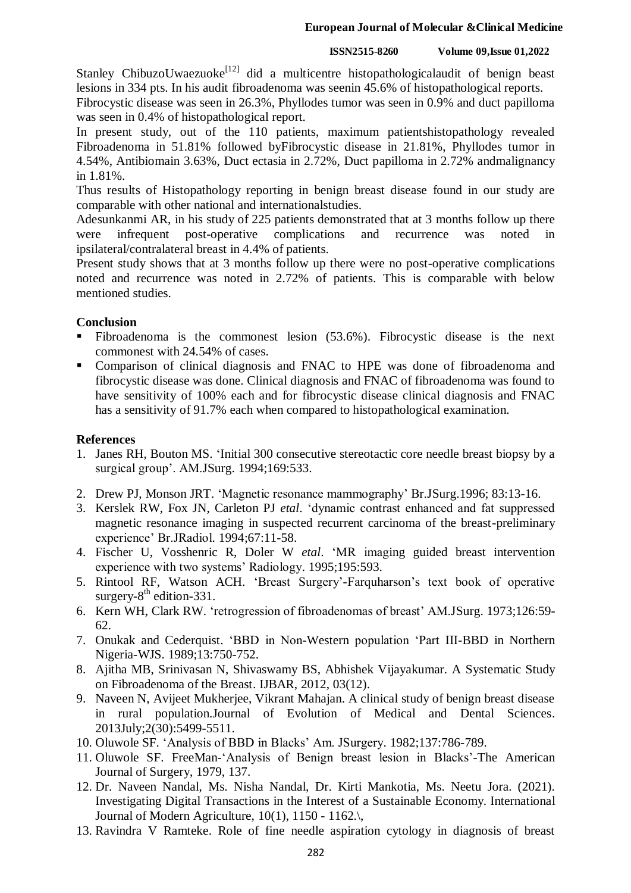Stanley ChibuzoUwaezuoke<sup>[12]</sup> did a multicentre histopathologicalaudit of benign beast lesions in 334 pts. In his audit fibroadenoma was seenin 45.6% of histopathological reports. Fibrocystic disease was seen in 26.3%, Phyllodes tumor was seen in 0.9% and duct papilloma

was seen in 0.4% of histopathological report.

In present study, out of the 110 patients, maximum patientshistopathology revealed Fibroadenoma in 51.81% followed byFibrocystic disease in 21.81%, Phyllodes tumor in 4.54%, Antibiomain 3.63%, Duct ectasia in 2.72%, Duct papilloma in 2.72% andmalignancy in 1.81%.

Thus results of Histopathology reporting in benign breast disease found in our study are comparable with other national and internationalstudies.

Adesunkanmi AR, in his study of 225 patients demonstrated that at 3 months follow up there were infrequent post-operative complications and recurrence was noted in ipsilateral/contralateral breast in 4.4% of patients.

Present study shows that at 3 months follow up there were no post-operative complications noted and recurrence was noted in 2.72% of patients. This is comparable with below mentioned studies.

## **Conclusion**

- Fibroadenoma is the commonest lesion (53.6%). Fibrocystic disease is the next commonest with 24.54% of cases.
- Comparison of clinical diagnosis and FNAC to HPE was done of fibroadenoma and fibrocystic disease was done. Clinical diagnosis and FNAC of fibroadenoma was found to have sensitivity of 100% each and for fibrocystic disease clinical diagnosis and FNAC has a sensitivity of 91.7% each when compared to histopathological examination.

## **References**

- 1. Janes RH, Bouton MS. "Initial 300 consecutive stereotactic core needle breast biopsy by a surgical group". AM.JSurg. 1994;169:533.
- 2. Drew PJ, Monson JRT. "Magnetic resonance mammography" Br.JSurg.1996; 83:13-16.
- 3. Kerslek RW, Fox JN, Carleton PJ *etal*. "dynamic contrast enhanced and fat suppressed magnetic resonance imaging in suspected recurrent carcinoma of the breast-preliminary experience" Br.JRadiol. 1994;67:11-58.
- 4. Fischer U, Vosshenric R, Doler W *etal*. "MR imaging guided breast intervention experience with two systems" Radiology. 1995;195:593.
- 5. Rintool RF, Watson ACH. "Breast Surgery"-Farquharson"s text book of operative surgery- $8<sup>th</sup>$  edition-331.
- 6. Kern WH, Clark RW. "retrogression of fibroadenomas of breast" AM.JSurg. 1973;126:59- 62.
- 7. Onukak and Cederquist. "BBD in Non-Western population "Part III-BBD in Northern Nigeria-WJS. 1989;13:750-752.
- 8. Ajitha MB, Srinivasan N, Shivaswamy BS, Abhishek Vijayakumar. A Systematic Study on Fibroadenoma of the Breast. IJBAR, 2012, 03(12).
- 9. Naveen N, Avijeet Mukherjee, Vikrant Mahajan. A clinical study of benign breast disease in rural population.Journal of Evolution of Medical and Dental Sciences. 2013July;2(30):5499-5511.
- 10. Oluwole SF. "Analysis of BBD in Blacks" Am. JSurgery. 1982;137:786-789.
- 11. Oluwole SF. FreeMan-"Analysis of Benign breast lesion in Blacks"-The American Journal of Surgery, 1979, 137.
- 12. Dr. Naveen Nandal, Ms. Nisha Nandal, Dr. Kirti Mankotia, Ms. Neetu Jora. (2021). Investigating Digital Transactions in the Interest of a Sustainable Economy. International Journal of Modern Agriculture, 10(1), 1150 - 1162.\,
- 13. Ravindra V Ramteke. Role of fine needle aspiration cytology in diagnosis of breast